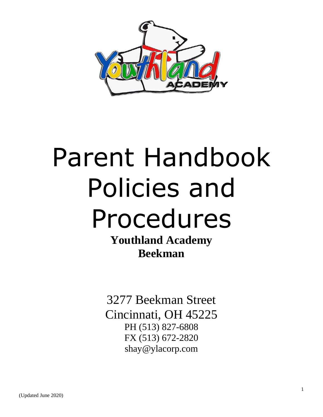

# Parent Handbook Policies and Procedures

**Youthland Academy Beekman**

3277 Beekman Street Cincinnati, OH 45225 PH (513) 827-6808 FX (513) 672-2820 shay@ylacorp.com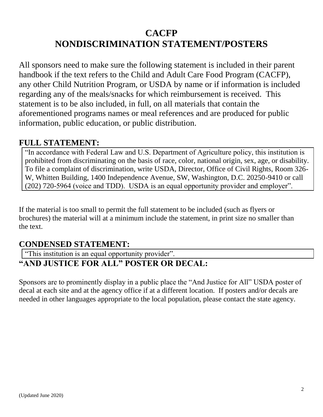# **CACFP NONDISCRIMINATION STATEMENT/POSTERS**

All sponsors need to make sure the following statement is included in their parent handbook if the text refers to the Child and Adult Care Food Program (CACFP), any other Child Nutrition Program, or USDA by name or if information is included regarding any of the meals/snacks for which reimbursement is received. This statement is to be also included, in full, on all materials that contain the aforementioned programs names or meal references and are produced for public information, public education, or public distribution.

#### **FULL STATEMENT:**

"In accordance with Federal Law and U.S. Department of Agriculture policy, this institution is prohibited from discriminating on the basis of race, color, national origin, sex, age, or disability. To file a complaint of discrimination, write USDA, Director, Office of Civil Rights, Room 326- W, Whitten Building, 1400 Independence Avenue, SW, Washington, D.C. 20250-9410 or call (202) 720-5964 (voice and TDD). USDA is an equal opportunity provider and employer".

If the material is too small to permit the full statement to be included (such as flyers or brochures) the material will at a minimum include the statement, in print size no smaller than the text.

## **CONDENSED STATEMENT:**

"This institution is an equal opportunity provider".

## **"AND JUSTICE FOR ALL" POSTER OR DECAL:**

Sponsors are to prominently display in a public place the "And Justice for All" USDA poster of decal at each site and at the agency office if at a different location. If posters and/or decals are needed in other languages appropriate to the local population, please contact the state agency.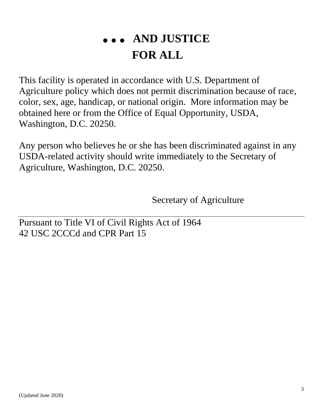# **… AND JUSTICE FOR ALL**

This facility is operated in accordance with U.S. Department of Agriculture policy which does not permit discrimination because of race, color, sex, age, handicap, or national origin. More information may be obtained here or from the Office of Equal Opportunity, USDA, Washington, D.C. 20250.

Any person who believes he or she has been discriminated against in any USDA-related activity should write immediately to the Secretary of Agriculture, Washington, D.C. 20250.

Secretary of Agriculture

Pursuant to Title VI of Civil Rights Act of 1964 42 USC 2CCCd and CPR Part 15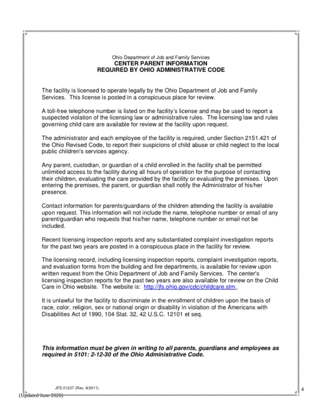#### Ohio Department of Job and Family Services **CENTER PARENT INFORMATION REQUIRED BY OHIO ADMINISTRATIVE CODE**

The facility is licensed to operate legally by the Ohio Department of Job and Family Services. This license is posted in a conspicuous place for review.

A toll-free telephone number is listed on the facility's license and may be used to report a suspected violation of the licensing law or administrative rules. The licensing law and rules governing child care are available for review at the facility upon request.

The administrator and each employee of the facility is required, under Section 2151.421 of the Ohio Revised Code, to report their suspicions of child abuse or child neglect to the local public children's services agency.

Any parent, custodian, or guardian of a child enrolled in the facility shall be permitted unlimited access to the facility during all hours of operation for the purpose of contacting their children, evaluating the care provided by the facility or evaluating the premises. Upon entering the premises, the parent, or guardian shall notify the Administrator of his/her presence.

Contact information for parents/guardians of the children attending the facility is available upon request. This information will not include the name, telephone number or email of any parent/guardian who requests that his/her name, telephone number or email not be included.

Recent licensing inspection reports and any substantiated complaint investigation reports for the past two years are posted in a conspicuous place in the facility for review.

The licensing record, including licensing inspection reports, complaint investigation reports, and evaluation forms from the building and fire departments, is available for review upon written request from the Ohio Department of Job and Family Services. The center's licensing inspection reports for the past two years are also available for review on the Child Care in Ohio website. The website is: http://jfs.ohio.gov/cdc/childcare.stm.

It is unlawful for the facility to discriminate in the enrollment of children upon the basis of race, color, religion, sex or national origin or disability in violation of the Americans with Disabilities Act of 1990, 104 Stat. 32, 42 U.S.C. 12101 et seq.

This information must be given in writing to all parents, guardians and employees as required in 5101: 2-12-30 of the Ohio Administrative Code.

JFS 01237 (Rev. 9/2011)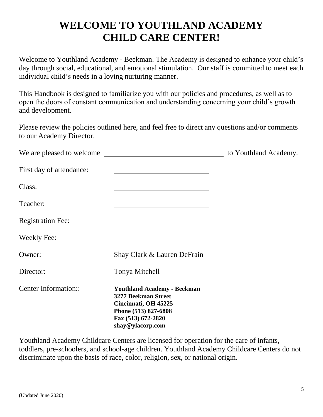# **WELCOME TO YOUTHLAND ACADEMY CHILD CARE CENTER!**

Welcome to Youthland Academy - Beekman. The Academy is designed to enhance your child's day through social, educational, and emotional stimulation. Our staff is committed to meet each individual child's needs in a loving nurturing manner.

This Handbook is designed to familiarize you with our policies and procedures, as well as to open the doors of constant communication and understanding concerning your child's growth and development.

Please review the policies outlined here, and feel free to direct any questions and/or comments to our Academy Director.

|                                                                                                                                                     | to Youthland Academy.     |
|-----------------------------------------------------------------------------------------------------------------------------------------------------|---------------------------|
|                                                                                                                                                     |                           |
|                                                                                                                                                     |                           |
|                                                                                                                                                     |                           |
|                                                                                                                                                     |                           |
|                                                                                                                                                     |                           |
| <b>Shay Clark &amp; Lauren DeFrain</b>                                                                                                              |                           |
| Tonya Mitchell                                                                                                                                      |                           |
| <b>Youthland Academy - Beekman</b><br>3277 Beekman Street<br>Cincinnati, OH 45225<br>Phone (513) 827-6808<br>Fax (513) 672-2820<br>shay@ylacorp.com |                           |
|                                                                                                                                                     | We are pleased to welcome |

Youthland Academy Childcare Centers are licensed for operation for the care of infants, toddlers, pre-schoolers, and school-age children. Youthland Academy Childcare Centers do not discriminate upon the basis of race, color, religion, sex, or national origin.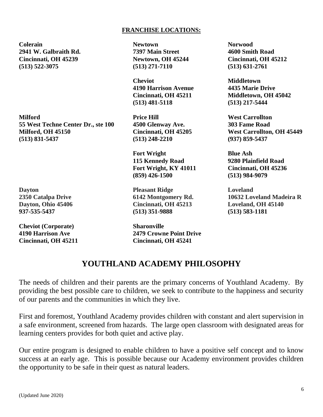#### **FRANCHISE LOCATIONS:**

**Colerain Newtown Norwood 2941 W. Galbraith Rd. 7397 Main Street 4600 Smith Road Cincinnati, OH 45239 Newtown, OH 45244 Cincinnati, OH 45212 (513) 522-3075 (513) 271-7110 (513) 631-2761**

**Milford Price Hill West Carrollton 55 West Techne Center Dr., ste 100 4500 Glenway Ave. 303 Fame Road Milford, OH 45150 Cincinnati, OH 45205 West Carrollton, OH 45449 (513) 831-5437 (513) 248-2210 (937) 859-5437**

**Cheviot (Corporate) Sharonville**

**Cheviot Middletown 4190 Harrison Avenue 4435 Marie Drive (513) 481-5118 (513) 217-5444**

**Fort Wright Blue Ash 115 Kennedy Road 9280 Plainfield Road Fort Wright, KY 41011 Cincinnati, OH 45236 (859) 426-1500 (513) 984-9079**

**Dayton Pleasant Ridge Loveland Dayton, Ohio 45406 Cincinnati, OH 45213 Loveland, OH 45140 [937-535-5437](tel:937-535-5437) (513) 351-9888 (513) 583-1181**

**4190 Harrison Ave 2479 Crowne Point Drive Cincinnati, OH 45211 Cincinnati, OH 45241**

**Cincinnati, OH 45211 Middletown, OH 45042**

**2350 Catalpa Drive 6142 Montgomery Rd. 10632 Loveland Madeira R**

#### **YOUTHLAND ACADEMY PHILOSOPHY**

The needs of children and their parents are the primary concerns of Youthland Academy. By providing the best possible care to children, we seek to contribute to the happiness and security of our parents and the communities in which they live.

First and foremost, Youthland Academy provides children with constant and alert supervision in a safe environment, screened from hazards. The large open classroom with designated areas for learning centers provides for both quiet and active play.

Our entire program is designed to enable children to have a positive self concept and to know success at an early age. This is possible because our Academy environment provides children the opportunity to be safe in their quest as natural leaders.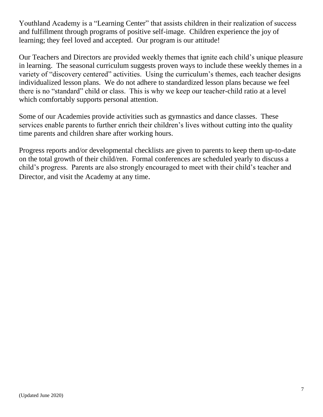Youthland Academy is a "Learning Center" that assists children in their realization of success and fulfillment through programs of positive self-image. Children experience the joy of learning; they feel loved and accepted. Our program is our attitude!

Our Teachers and Directors are provided weekly themes that ignite each child's unique pleasure in learning. The seasonal curriculum suggests proven ways to include these weekly themes in a variety of "discovery centered" activities. Using the curriculum's themes, each teacher designs individualized lesson plans. We do not adhere to standardized lesson plans because we feel there is no "standard" child or class. This is why we keep our teacher-child ratio at a level which comfortably supports personal attention.

Some of our Academies provide activities such as gymnastics and dance classes. These services enable parents to further enrich their children's lives without cutting into the quality time parents and children share after working hours.

Progress reports and/or developmental checklists are given to parents to keep them up-to-date on the total growth of their child/ren. Formal conferences are scheduled yearly to discuss a child's progress. Parents are also strongly encouraged to meet with their child's teacher and Director, and visit the Academy at any time.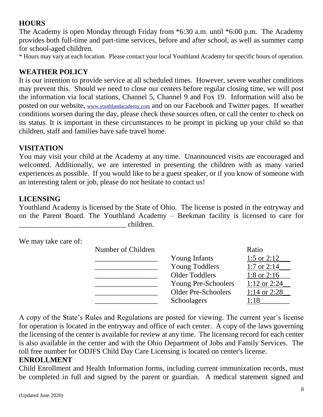#### **HOURS**

The Academy is open Monday through Friday from \*6:30 a.m. until \*6:00 p.m. The Academy provides both full-time and part-time services, before and after school, as well as summer camp for school-aged children.

\* Hours may vary at each location. Please contact your local Youthland Academy for specific hours of operation.

#### **WEATHER POLICY**

It is our intention to provide service at all scheduled times. However, severe weather conditions may prevent this. Should we need to close our centers before regular closing time, we will post the information via local stations, Channel 5, Channel 9 and Fox 19. Information will also be posted on our website, [www.youthlandacademy.com](http://www.youthlandacademy.com/) and on our Facebook and Twitter pages. If weather conditions worsen during the day, please check these sources often, or call the center to check on its status. It is important in these circumstances to be prompt in picking up your child so that children, staff and families have safe travel home.

#### **VISITATION**

You may visit your child at the Academy at any time. Unannounced visits are encouraged and welcomed. Additionally, we are interested in presenting the children with as many varied experiences as possible. If you would like to be a guest speaker, or if you know of someone with an interesting talent or job, please do not hesitate to contact us!

#### **LICENSING**

Youthland Academy is licensed by the State of Ohio. The license is posted in the entryway and on the Parent Board. The Youthland Academy – Beekman facility is licensed to care for \_\_\_\_\_\_\_\_\_\_\_\_\_\_\_\_\_\_\_\_\_\_\_\_\_\_\_\_\_ children.

We may take care of:

| Number of Children |                            | Ratio          |
|--------------------|----------------------------|----------------|
|                    | <b>Young Infants</b>       | 1:5 or $2:12$  |
|                    | <b>Young Toddlers</b>      | 1:7 or $2:14$  |
|                    | <b>Older Toddlers</b>      | 1:8 or $2:16$  |
|                    | <b>Young Pre-Schoolers</b> | 1:12 or $2:24$ |
|                    | <b>Older Pre-Schoolers</b> | 1:14 or $2:28$ |
|                    | Schoolagers                | 1:18           |

A copy of the State's Rules and Regulations are posted for viewing. The current year's license for operation is located in the entryway and office of each center. A copy of the laws governing the licensing of the center is available for review at any time. The licensing record for each center is also available in the center and with the Ohio Department of Jobs and Family Services. The toll free number for ODJFS Child Day Care Licensing is located on center's license.

#### **ENROLLMENT**

Child Enrollment and Health Information forms, including current immunization records, must be completed in full and signed by the parent or guardian. A medical statement signed and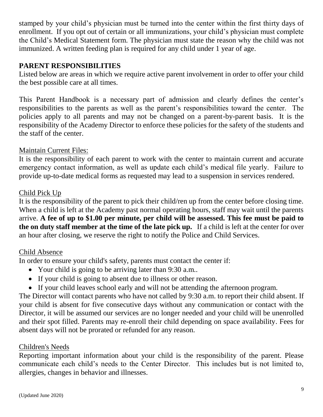stamped by your child's physician must be turned into the center within the first thirty days of enrollment. If you opt out of certain or all immunizations, your child's physician must complete the Child's Medical Statement form. The physician must state the reason why the child was not immunized. A written feeding plan is required for any child under 1 year of age.

#### **PARENT RESPONSIBILITIES**

Listed below are areas in which we require active parent involvement in order to offer your child the best possible care at all times.

This Parent Handbook is a necessary part of admission and clearly defines the center's responsibilities to the parents as well as the parent's responsibilities toward the center. The policies apply to all parents and may not be changed on a parent-by-parent basis. It is the responsibility of the Academy Director to enforce these policies for the safety of the students and the staff of the center.

#### Maintain Current Files:

It is the responsibility of each parent to work with the center to maintain current and accurate emergency contact information, as well as update each child's medical file yearly. Failure to provide up-to-date medical forms as requested may lead to a suspension in services rendered.

#### Child Pick Up

It is the responsibility of the parent to pick their child/ren up from the center before closing time. When a child is left at the Academy past normal operating hours, staff may wait until the parents arrive. **A fee of up to \$1.00 per minute, per child will be assessed. This fee must be paid to the on duty staff member at the time of the late pick up.** If a child is left at the center for over an hour after closing, we reserve the right to notify the Police and Child Services.

#### Child Absence

In order to ensure your child's safety, parents must contact the center if:

- Your child is going to be arriving later than 9:30 a.m..
- If your child is going to absent due to illness or other reason.
- If your child leaves school early and will not be attending the afternoon program.

The Director will contact parents who have not called by 9:30 a.m. to report their child absent. If your child is absent for five consecutive days without any communication or contact with the Director, it will be assumed our services are no longer needed and your child will be unenrolled and their spot filled. Parents may re-enroll their child depending on space availability. Fees for absent days will not be prorated or refunded for any reason.

#### Children's Needs

Reporting important information about your child is the responsibility of the parent. Please communicate each child's needs to the Center Director. This includes but is not limited to, allergies, changes in behavior and illnesses.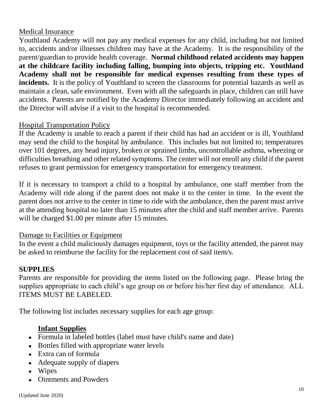#### Medical Insurance

Youthland Academy will not pay any medical expenses for any child, including but not limited to, accidents and/or illnesses children may have at the Academy. It is the responsibility of the parent/guardian to provide health coverage. **Normal childhood related accidents may happen at the childcare facility including falling, bumping into objects, tripping etc. Youthland Academy shall not be responsible for medical expenses resulting from these types of incidents.** It is the policy of Youthland to screen the classrooms for potential hazards as well as maintain a clean, safe environment. Even with all the safeguards in place, children can still have accidents. Parents are notified by the Academy Director immediately following an accident and the Director will advise if a visit to the hospital is recommended.

#### Hospital Transportation Policy

If the Academy is unable to reach a parent if their child has had an accident or is ill, Youthland may send the child to the hospital by ambulance. This includes but not limited to; temperatures over 101 degrees, any head injury, broken or sprained limbs, uncontrollable asthma, wheezing or difficulties breathing and other related symptoms. The center will not enroll any child if the parent refuses to grant permission for emergency transportation for emergency treatment.

If it is necessary to transport a child to a hospital by ambulance, one staff member from the Academy will ride along if the parent does not make it to the center in time. In the event the parent does not arrive to the center in time to ride with the ambulance, then the parent must arrive at the attending hospital no later than 15 minutes after the child and staff member arrive. Parents will be charged \$1.00 per minute after 15 minutes.

#### Damage to Facilities or Equipment

In the event a child maliciously damages equipment, toys or the facility attended, the parent may be asked to reimburse the facility for the replacement cost of said item/s.

#### **SUPPLIES**

Parents are responsible for providing the items listed on the following page. Please bring the supplies appropriate to each child's age group on or before his/her first day of attendance. ALL ITEMS MUST BE LABELED.

The following list includes necessary supplies for each age group:

#### **Infant Supplies**

- Formula in labeled bottles (label must have child's name and date)
- Bottles filled with appropriate water levels
- Extra can of formula
- Adequate supply of diapers
- Wipes
- Ointments and Powders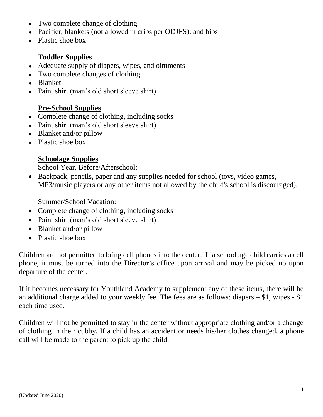- Two complete change of clothing
- Pacifier, blankets (not allowed in cribs per ODJFS), and bibs
- Plastic shoe box

#### **Toddler Supplies**

- Adequate supply of diapers, wipes, and ointments
- Two complete changes of clothing
- Blanket
- Paint shirt (man's old short sleeve shirt)

#### **Pre-School Supplies**

- Complete change of clothing, including socks
- Paint shirt (man's old short sleeve shirt)
- Blanket and/or pillow
- Plastic shoe box

#### **Schoolage Supplies**

School Year, Before/Afterschool:

 Backpack, pencils, paper and any supplies needed for school (toys, video games, MP3/music players or any other items not allowed by the child's school is discouraged).

Summer/School Vacation:

- Complete change of clothing, including socks
- Paint shirt (man's old short sleeve shirt)
- Blanket and/or pillow
- Plastic shoe box

Children are not permitted to bring cell phones into the center. If a school age child carries a cell phone, it must be turned into the Director's office upon arrival and may be picked up upon departure of the center.

If it becomes necessary for Youthland Academy to supplement any of these items, there will be an additional charge added to your weekly fee. The fees are as follows: diapers  $- $1$ , wipes  $- $1$ each time used.

Children will not be permitted to stay in the center without appropriate clothing and/or a change of clothing in their cubby. If a child has an accident or needs his/her clothes changed, a phone call will be made to the parent to pick up the child.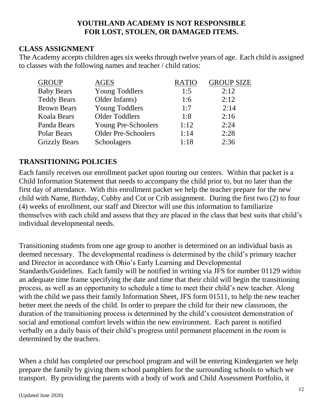#### **YOUTHLAND ACADEMY IS NOT RESPONSIBLE FOR LOST, STOLEN, OR DAMAGED ITEMS.**

#### **CLASS ASSIGNMENT**

The Academy accepts children ages six weeks through twelve years of age. Each child is assigned to classes with the following names and teacher / child ratios:

| <b>GROUP</b>         | <b>AGES</b>                | <b>RATIO</b> | <b>GROUP SIZE</b> |
|----------------------|----------------------------|--------------|-------------------|
| <b>Baby Bears</b>    | <b>Young Toddlers</b>      | 1:5          | 2:12              |
| <b>Teddy Bears</b>   | Older Infants)             | 1:6          | 2:12              |
| <b>Brown Bears</b>   | <b>Young Toddlers</b>      | 1:7          | 2:14              |
| <b>Koala Bears</b>   | <b>Older Toddlers</b>      | 1:8          | 2:16              |
| Panda Bears          | Young Pre-Schoolers        | 1:12         | 2:24              |
| Polar Bears          | <b>Older Pre-Schoolers</b> | 1:14         | 2:28              |
| <b>Grizzly Bears</b> | Schoolagers                | 1:18         | 2:36              |

#### **TRANSITIONING POLICIES**

Each family receives our enrollment packet upon touring our centers. Within that packet is a Child Information Statement that needs to accompany the child prior to, but no later than the first day of attendance. With this enrollment packet we help the teacher prepare for the new child with Name, Birthday, Cubby and Cot or Crib assignment. During the first two (2) to four (4) weeks of enrollment, our staff and Director will use this information to familiarize themselves with each child and assess that they are placed in the class that best suits that child's individual developmental needs.

Transitioning students from one age group to another is determined on an individual basis as deemed necessary. The developmental readiness is determined by the child's primary teacher and Director in accordance with Ohio's Early Learning and Developmental Standards/Guidelines. Each family will be notified in writing via JFS for number 01129 within an adequate time frame specifying the date and time that their child will begin the transitioning process, as well as an opportunity to schedule a time to meet their child's new teacher. Along with the child we pass their family Information Sheet, JFS form 01511, to help the new teacher better meet the needs of the child. In order to prepare the child for their new classroom, the duration of the transitioning process is determined by the child's consistent demonstration of social and emotional comfort levels within the new environment. Each parent is notified verbally on a daily basis of their child's progress until permanent placement in the room is determined by the teachers.

When a child has completed our preschool program and will be entering Kindergarten we help prepare the family by giving them school pamphlets for the surrounding schools to which we transport. By providing the parents with a body of work and Child Assessment Portfolio, it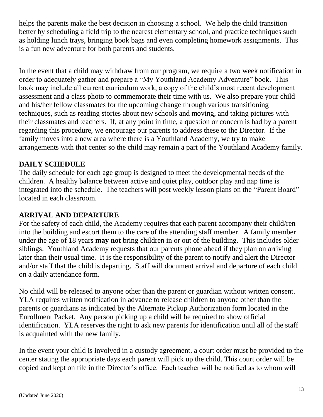helps the parents make the best decision in choosing a school. We help the child transition better by scheduling a field trip to the nearest elementary school, and practice techniques such as holding lunch trays, bringing book bags and even completing homework assignments. This is a fun new adventure for both parents and students.

In the event that a child may withdraw from our program, we require a two week notification in order to adequately gather and prepare a "My Youthland Academy Adventure" book. This book may include all current curriculum work, a copy of the child's most recent development assessment and a class photo to commemorate their time with us. We also prepare your child and his/her fellow classmates for the upcoming change through various transitioning techniques, such as reading stories about new schools and moving, and taking pictures with their classmates and teachers. If, at any point in time, a question or concern is had by a parent regarding this procedure, we encourage our parents to address these to the Director. If the family moves into a new area where there is a Youthland Academy, we try to make arrangements with that center so the child may remain a part of the Youthland Academy family.

#### **DAILY SCHEDULE**

The daily schedule for each age group is designed to meet the developmental needs of the children. A healthy balance between active and quiet play, outdoor play and nap time is integrated into the schedule. The teachers will post weekly lesson plans on the "Parent Board" located in each classroom.

#### **ARRIVAL AND DEPARTURE**

For the safety of each child, the Academy requires that each parent accompany their child/ren into the building and escort them to the care of the attending staff member. A family member under the age of 18 years **may not** bring children in or out of the building. This includes older siblings. Youthland Academy requests that our parents phone ahead if they plan on arriving later than their usual time. It is the responsibility of the parent to notify and alert the Director and/or staff that the child is departing. Staff will document arrival and departure of each child on a daily attendance form.

No child will be released to anyone other than the parent or guardian without written consent. YLA requires written notification in advance to release children to anyone other than the parents or guardians as indicated by the Alternate Pickup Authorization form located in the Enrollment Packet. Any person picking up a child will be required to show official identification. YLA reserves the right to ask new parents for identification until all of the staff is acquainted with the new family.

In the event your child is involved in a custody agreement, a court order must be provided to the center stating the appropriate days each parent will pick up the child. This court order will be copied and kept on file in the Director's office. Each teacher will be notified as to whom will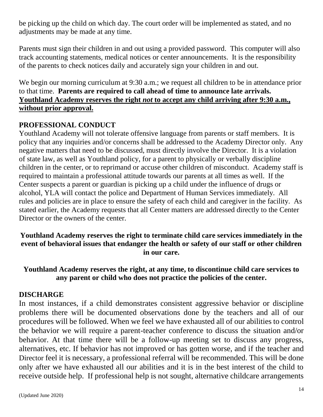be picking up the child on which day. The court order will be implemented as stated, and no adjustments may be made at any time.

Parents must sign their children in and out using a provided password. This computer will also track accounting statements, medical notices or center announcements. It is the responsibility of the parents to check notices daily and accurately sign your children in and out.

We begin our morning curriculum at 9:30 a.m.; we request all children to be in attendance prior to that time. **Parents are required to call ahead of time to announce late arrivals. Youthland Academy reserves the right** *not* **to accept any child arriving after 9:30 a.m., without prior approval.**

#### **PROFESSIONAL CONDUCT**

Youthland Academy will not tolerate offensive language from parents or staff members. It is policy that any inquiries and/or concerns shall be addressed to the Academy Director only. Any negative matters that need to be discussed, must directly involve the Director. It is a violation of state law, as well as Youthland policy, for a parent to physically or verbally discipline children in the center, or to reprimand or accuse other children of misconduct. Academy staff is required to maintain a professional attitude towards our parents at all times as well. If the Center suspects a parent or guardian is picking up a child under the influence of drugs or alcohol, YLA will contact the police and Department of Human Services immediately. All rules and policies are in place to ensure the safety of each child and caregiver in the facility. As stated earlier, the Academy requests that all Center matters are addressed directly to the Center Director or the owners of the center.

**Youthland Academy reserves the right to terminate child care services immediately in the event of behavioral issues that endanger the health or safety of our staff or other children in our care.**

**Youthland Academy reserves the right, at any time, to discontinue child care services to any parent or child who does not practice the policies of the center.**

#### **DISCHARGE**

In most instances, if a child demonstrates consistent aggressive behavior or discipline problems there will be documented observations done by the teachers and all of our procedures will be followed. When we feel we have exhausted all of our abilities to control the behavior we will require a parent-teacher conference to discuss the situation and/or behavior. At that time there will be a follow-up meeting set to discuss any progress, alternatives, etc. If behavior has not improved or has gotten worse, and if the teacher and Director feel it is necessary, a professional referral will be recommended. This will be done only after we have exhausted all our abilities and it is in the best interest of the child to receive outside help. If professional help is not sought, alternative childcare arrangements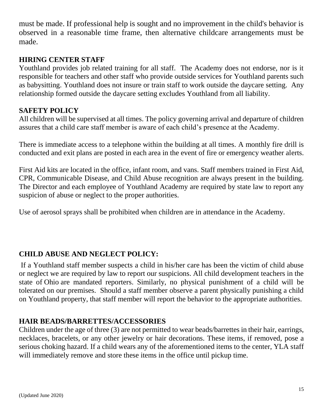must be made. If professional help is sought and no improvement in the child's behavior is observed in a reasonable time frame, then alternative childcare arrangements must be made.

#### **HIRING CENTER STAFF**

Youthland provides job related training for all staff. The Academy does not endorse, nor is it responsible for teachers and other staff who provide outside services for Youthland parents such as babysitting. Youthland does not insure or train staff to work outside the daycare setting. Any relationship formed outside the daycare setting excludes Youthland from all liability.

#### **SAFETY POLICY**

All children will be supervised at all times. The policy governing arrival and departure of children assures that a child care staff member is aware of each child's presence at the Academy.

There is immediate access to a telephone within the building at all times. A monthly fire drill is conducted and exit plans are posted in each area in the event of fire or emergency weather alerts.

First Aid kits are located in the office, infant room, and vans. Staff members trained in First Aid, CPR, Communicable Disease, and Child Abuse recognition are always present in the building. The Director and each employee of Youthland Academy are required by state law to report any suspicion of abuse or neglect to the proper authorities.

Use of aerosol sprays shall be prohibited when children are in attendance in the Academy.

## **CHILD ABUSE AND NEGLECT POLICY:**

If a Youthland staff member suspects a child in his/her care has been the victim of child abuse or neglect we are required by law to report our suspicions. All child development teachers in the state of Ohio are mandated reporters. Similarly, no physical punishment of a child will be tolerated on our premises. Should a staff member observe a parent physically punishing a child on Youthland property, that staff member will report the behavior to the appropriate authorities.

#### **HAIR BEADS/BARRETTES/ACCESSORIES**

Children under the age of three (3) are not permitted to wear beads/barrettes in their hair, earrings, necklaces, bracelets, or any other jewelry or hair decorations. These items, if removed, pose a serious choking hazard. If a child wears any of the aforementioned items to the center, YLA staff will immediately remove and store these items in the office until pickup time.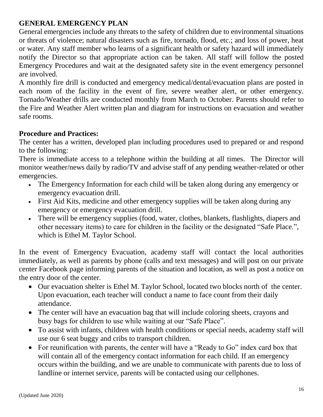#### **GENERAL EMERGENCY PLAN**

General emergencies include any threats to the safety of children due to environmental situations or threats of violence; natural disasters such as fire, tornado, flood, etc.; and loss of power, heat or water. Any staff member who learns of a significant health or safety hazard will immediately notify the Director so that appropriate action can be taken. All staff will follow the posted Emergency Procedures and wait at the designated safety site in the event emergency personnel are involved.

A monthly fire drill is conducted and emergency medical/dental/evacuation plans are posted in each room of the facility in the event of fire, severe weather alert, or other emergency. Tornado/Weather drills are conducted monthly from March to October. Parents should refer to the Fire and Weather Alert written plan and diagram for instructions on evacuation and weather safe rooms.

#### **Procedure and Practices:**

The center has a written, developed plan including procedures used to prepared or and respond to the following:

There is immediate access to a telephone within the building at all times. The Director will monitor weather/news daily by radio/TV and advise staff of any pending weather-related or other emergencies.

- The Emergency Information for each child will be taken along during any emergency or emergency evacuation drill.
- First Aid Kits, medicine and other emergency supplies will be taken along during any emergency or emergency evacuation drill.
- There will be emergency supplies (food, water, clothes, blankets, flashlights, diapers and other necessary items) to care for children in the facility or the designated "Safe Place.", which is Ethel M. Taylor School.

In the event of Emergency Evacuation, academy staff will contact the local authorities immediately, as well as parents by phone (calls and text messages) and will post on our private center Facebook page informing parents of the situation and location, as well as post a notice on the entry door of the center.

- Our evacuation shelter is Ethel M. Taylor School, located two blocks north of the center. Upon evacuation, each teacher will conduct a name to face count from their daily attendance.
- The center will have an evacuation bag that will include coloring sheets, crayons and busy bags for children to use while waiting at our "Safe Place".
- To assist with infants, children with health conditions or special needs, academy staff will use our 6 seat buggy and cribs to transport children.
- For reunification with parents, the center will have a "Ready to Go" index card box that will contain all of the emergency contact information for each child. If an emergency occurs within the building, and we are unable to communicate with parents due to loss of landline or internet service, parents will be contacted using our cellphones.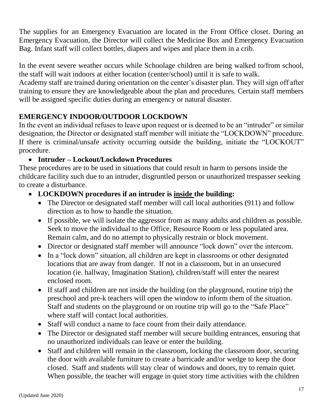The supplies for an Emergency Evacuation are located in the Front Office closet. During an Emergency Evacuation, the Director will collect the Medicine Box and Emergency Evacuation Bag. Infant staff will collect bottles, diapers and wipes and place them in a crib.

In the event severe weather occurs while Schoolage children are being walked to/from school, the staff will wait indoors at either location (center/school) until it is safe to walk.

Academy staff are trained during orientation on the center's disaster plan. They will sign off after training to ensure they are knowledgeable about the plan and procedures. Certain staff members will be assigned specific duties during an emergency or natural disaster.

#### **EMERGENCY INDOOR/OUTDOOR LOCKDOWN**

In the event an individual refuses to leave upon request or is deemed to be an "intruder" or similar designation, the Director or designated staff member will initiate the "LOCKDOWN" procedure. If there is criminal/unsafe activity occurring outside the building, initiate the "LOCKOUT" procedure.

#### **Intruder – Lockout/Lockdown Procedures**

These procedures are to be used in situations that could result in harm to persons inside the childcare facility such due to an intruder, disgruntled person or unauthorized trespasser seeking to create a disturbance.

#### **LOCKDOWN procedures if an intruder is inside the building:**

- The Director or designated staff member will call local authorities (911) and follow direction as to how to handle the situation.
- If possible, we will isolate the aggressor from as many adults and children as possible. Seek to move the individual to the Office, Resource Room or less populated area. Remain calm, and do no attempt to physically restrain or block movement.
- Director or designated staff member will announce "lock down" over the intercom.
- In a "lock down" situation, all children are kept in classrooms or other designated locations that are away from danger. If not in a classroom, but in an unsecured location (ie. hallway, Imagination Station), children/staff will enter the nearest enclosed room.
- If staff and children are not inside the building (on the playground, routine trip) the preschool and pre-k teachers will open the window to inform them of the situation. Staff and students on the playground or on routine trip will go to the "Safe Place" where staff will contact local authorities.
- Staff will conduct a name to face count from their daily attendance.
- The Director or designated staff member will secure building entrances, ensuring that no unauthorized individuals can leave or enter the building.
- Staff and children will remain in the classroom, locking the classroom door, securing the door with available furniture to create a barricade and/or wedge to keep the door closed. Staff and students will stay clear of windows and doors, try to remain quiet. When possible, the teacher will engage in quiet story time activities with the children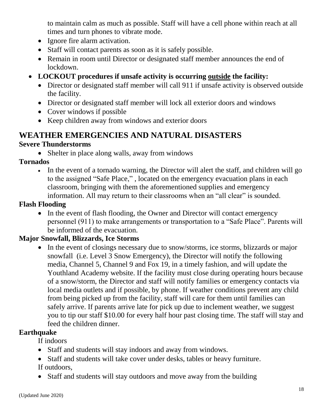to maintain calm as much as possible. Staff will have a cell phone within reach at all times and turn phones to vibrate mode.

- Ignore fire alarm activation.
- Staff will contact parents as soon as it is safely possible.
- Remain in room until Director or designated staff member announces the end of lockdown.
- **LOCKOUT procedures if unsafe activity is occurring outside the facility:**
	- Director or designated staff member will call 911 if unsafe activity is observed outside the facility.
	- Director or designated staff member will lock all exterior doors and windows
	- Cover windows if possible
	- Keep children away from windows and exterior doors

## **WEATHER EMERGENCIES AND NATURAL DISASTERS**

#### **Severe Thunderstorms**

• Shelter in place along walls, away from windows

#### **Tornados**

 In the event of a tornado warning, the Director will alert the staff, and children will go to the assigned "Safe Place," , located on the emergency evacuation plans in each classroom, bringing with them the aforementioned supplies and emergency information. All may return to their classrooms when an "all clear" is sounded.

#### **Flash Flooding**

• In the event of flash flooding, the Owner and Director will contact emergency personnel (911) to make arrangements or transportation to a "Safe Place". Parents will be informed of the evacuation.

## **Major Snowfall, Blizzards, Ice Storms**

• In the event of closings necessary due to snow/storms, ice storms, blizzards or major snowfall (i.e. Level 3 Snow Emergency), the Director will notify the following media, Channel 5, Channel 9 and Fox 19, in a timely fashion, and will update the Youthland Academy website. If the facility must close during operating hours because of a snow/storm, the Director and staff will notify families or emergency contacts via local media outlets and if possible, by phone. If weather conditions prevent any child from being picked up from the facility, staff will care for them until families can safely arrive. If parents arrive late for pick up due to inclement weather, we suggest you to tip our staff \$10.00 for every half hour past closing time. The staff will stay and feed the children dinner.

#### **Earthquake**

If indoors

- Staff and students will stay indoors and away from windows.
- Staff and students will take cover under desks, tables or heavy furniture. If outdoors,
- Staff and students will stay outdoors and move away from the building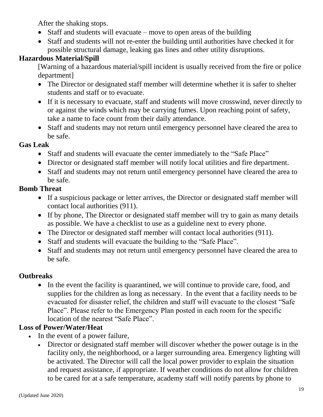After the shaking stops.

- Staff and students will evacuate move to open areas of the building
- Staff and students will not re-enter the building until authorities have checked it for possible structural damage, leaking gas lines and other utility disruptions.

#### **Hazardous Material/Spill**

[Warning of a hazardous material/spill incident is usually received from the fire or police department]

- The Director or designated staff member will determine whether it is safer to shelter students and staff or to evacuate.
- If it is necessary to evacuate, staff and students will move crosswind, never directly to or against the winds which may be carrying fumes. Upon reaching point of safety, take a name to face count from their daily attendance.
- Staff and students may not return until emergency personnel have cleared the area to be safe.

#### **Gas Leak**

- Staff and students will evacuate the center immediately to the "Safe Place"
- Director or designated staff member will notify local utilities and fire department.
- Staff and students may not return until emergency personnel have cleared the area to be safe.

#### **Bomb Threat**

- If a suspicious package or letter arrives, the Director or designated staff member will contact local authorities (911).
- If by phone, The Director or designated staff member will try to gain as many details as possible. We have a checklist to use as a guideline next to every phone.
- The Director or designated staff member will contact local authorities (911).
- Staff and students will evacuate the building to the "Safe Place".
- Staff and students may not return until emergency personnel have cleared the area to be safe.

#### **Outbreaks**

• In the event the facility is quarantined, we will continue to provide care, food, and supplies for the children as long as necessary. In the event that a facility needs to be evacuated for disaster relief, the children and staff will evacuate to the closest "Safe Place". Please refer to the Emergency Plan posted in each room for the specific location of the nearest "Safe Place".

#### **Loss of Power/Water/Heat**

- In the event of a power failure,
	- Director or designated staff member will discover whether the power outage is in the facility only, the neighborhood, or a larger surrounding area. Emergency lighting will be activated. The Director will call the local power provider to explain the situation and request assistance, if appropriate. If weather conditions do not allow for children to be cared for at a safe temperature, academy staff will notify parents by phone to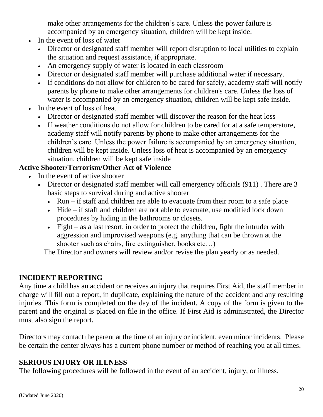make other arrangements for the children's care. Unless the power failure is accompanied by an emergency situation, children will be kept inside.

- In the event of loss of water
	- Director or designated staff member will report disruption to local utilities to explain the situation and request assistance, if appropriate.
	- An emergency supply of water is located in each classroom
	- Director or designated staff member will purchase additional water if necessary.
	- If conditions do not allow for children to be cared for safely, academy staff will notify parents by phone to make other arrangements for children's care. Unless the loss of water is accompanied by an emergency situation, children will be kept safe inside.
- In the event of loss of heat
	- Director or designated staff member will discover the reason for the heat loss
	- If weather conditions do not allow for children to be cared for at a safe temperature, academy staff will notify parents by phone to make other arrangements for the children's care. Unless the power failure is accompanied by an emergency situation, children will be kept inside. Unless loss of heat is accompanied by an emergency situation, children will be kept safe inside

#### **Active Shooter/Terrorism/Other Act of Violence**

- In the event of active shooter
	- Director or designated staff member will call emergency officials (911). There are 3 basic steps to survival during and active shooter
		- $\bullet$  Run if staff and children are able to evacuate from their room to a safe place
		- Hide if staff and children are not able to evacuate, use modified lock down procedures by hiding in the bathrooms or closets.
		- Fight as a last resort, in order to protect the children, fight the intruder with aggression and improvised weapons (e.g. anything that can be thrown at the shooter such as chairs, fire extinguisher, books etc…)

The Director and owners will review and/or revise the plan yearly or as needed.

#### **INCIDENT REPORTING**

Any time a child has an accident or receives an injury that requires First Aid, the staff member in charge will fill out a report, in duplicate, explaining the nature of the accident and any resulting injuries. This form is completed on the day of the incident. A copy of the form is given to the parent and the original is placed on file in the office. If First Aid is administrated, the Director must also sign the report.

Directors may contact the parent at the time of an injury or incident, even minor incidents. Please be certain the center always has a current phone number or method of reaching you at all times.

#### **SERIOUS INJURY OR ILLNESS**

The following procedures will be followed in the event of an accident, injury, or illness.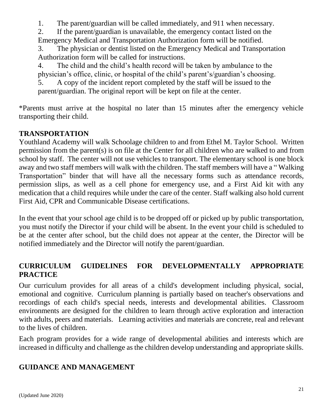1. The parent/guardian will be called immediately, and 911 when necessary.

2. If the parent/guardian is unavailable, the emergency contact listed on the Emergency Medical and Transportation Authorization form will be notified.

3. The physician or dentist listed on the Emergency Medical and Transportation Authorization form will be called for instructions.

4. The child and the child's health record will be taken by ambulance to the physician's office, clinic, or hospital of the child's parent's/guardian's choosing.

5. A copy of the incident report completed by the staff will be issued to the parent/guardian. The original report will be kept on file at the center.

\*Parents must arrive at the hospital no later than 15 minutes after the emergency vehicle transporting their child.

#### **TRANSPORTATION**

Youthland Academy will walk Schoolage children to and from Ethel M. Taylor School. Written permission from the parent(s) is on file at the Center for all children who are walked to and from school by staff. The center will not use vehicles to transport. The elementary school is one block away and two staff members will walk with the children. The staff members will have a " Walking Transportation" binder that will have all the necessary forms such as attendance records, permission slips, as well as a cell phone for emergency use, and a First Aid kit with any medication that a child requires while under the care of the center. Staff walking also hold current First Aid, CPR and Communicable Disease certifications.

In the event that your school age child is to be dropped off or picked up by public transportation, you must notify the Director if your child will be absent. In the event your child is scheduled to be at the center after school, but the child does not appear at the center, the Director will be notified immediately and the Director will notify the parent/guardian.

#### **CURRICULUM GUIDELINES FOR DEVELOPMENTALLY APPROPRIATE PRACTICE**

Our curriculum provides for all areas of a child's development including physical, social, emotional and cognitive. Curriculum planning is partially based on teacher's observations and recordings of each child's special needs, interests and developmental abilities. Classroom environments are designed for the children to learn through active exploration and interaction with adults, peers and materials. Learning activities and materials are concrete, real and relevant to the lives of children.

Each program provides for a wide range of developmental abilities and interests which are increased in difficulty and challenge as the children develop understanding and appropriate skills.

#### **GUIDANCE AND MANAGEMENT**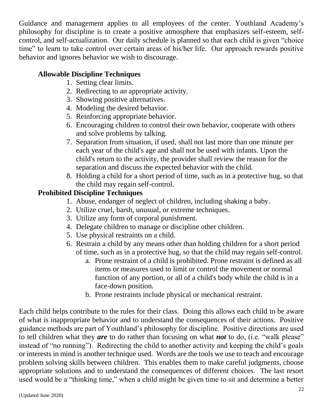Guidance and management applies to all employees of the center. Youthland Academy's philosophy for discipline is to create a positive atmosphere that emphasizes self-esteem, selfcontrol, and self-actualization. Our daily schedule is planned so that each child is given "choice time" to learn to take control over certain areas of his/her life. Our approach rewards positive behavior and ignores behavior we wish to discourage.

#### **Allowable Discipline Techniques**

- 1. Setting clear limits.
- 2. Redirecting to an appropriate activity.
- 3. Showing positive alternatives.
- 4. Modeling the desired behavior.
- 5. Reinforcing appropriate behavior.
- 6. Encouraging children to control their own behavior, cooperate with others and solve problems by talking.
- 7. Separation from situation, if used, shall not last more than one minute per each year of the child's age and shall not be used with infants. Upon the child's return to the activity, the provider shall review the reason for the separation and discuss the expected behavior with the child.
- 8. Holding a child for a short period of time, such as in a protective hug, so that the child may regain self-control.

#### **Prohibited Discipline Techniques**

- 1. Abuse, endanger of neglect of children, including shaking a baby.
- 2. Utilize cruel, harsh, unusual, or extreme techniques.
- 3. Utilize any form of corporal punishment.
- 4. Delegate children to manage or discipline other children.
- 5. Use physical restraints on a child.
- 6. Restrain a child by any means other than holding children for a short period of time, such as in a protective hug, so that the child may regain self-control.
	- a. Prone restraint of a child is prohibited. Prone restraint is defined as all items or measures used to limit or control the movement or normal function of any portion, or all of a child's body while the child is in a face-down position.
	- b. Prone restraints include physical or mechanical restraint.

Each child helps contribute to the rules for their class. Doing this allows each child to be aware of what is inappropriate behavior and to understand the consequences of their actions. Positive guidance methods are part of Youthland's philosophy for discipline. Positive directions are used to tell children what they *are* to do rather than focusing on what *not* to do, (i.e. "walk please" instead of "no running"). Redirecting the child to another activity and keeping the child's goals or interests in mind is another technique used. Words are the tools we use to teach and encourage problem solving skills between children. This enables them to make careful judgments, choose appropriate solutions and to understand the consequences of different choices. The last resort used would be a "thinking time," when a child might be given time to sit and determine a better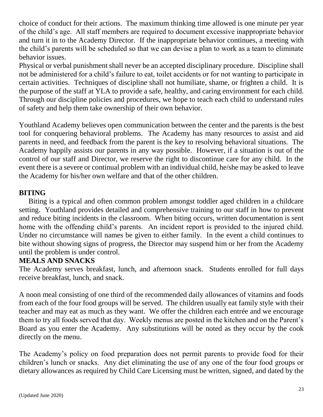choice of conduct for their actions. The maximum thinking time allowed is one minute per year of the child's age. All staff members are required to document excessive inappropriate behavior and turn it in to the Academy Director. If the inappropriate behavior continues, a meeting with the child's parents will be scheduled so that we can devise a plan to work as a team to eliminate behavior issues.

Physical or verbal punishment shall never be an accepted disciplinary procedure. Discipline shall not be administered for a child's failure to eat, toilet accidents or for not wanting to participate in certain activities. Techniques of discipline shall not humiliate, shame, or frighten a child. It is the purpose of the staff at YLA to provide a safe, healthy, and caring environment for each child. Through our discipline policies and procedures, we hope to teach each child to understand rules of safety and help them take ownership of their own behavior.

Youthland Academy believes open communication between the center and the parents is the best tool for conquering behavioral problems. The Academy has many resources to assist and aid parents in need, and feedback from the parent is the key to resolving behavioral situations. The Academy happily assists our parents in any way possible. However, if a situation is out of the control of our staff and Director, we reserve the right to discontinue care for any child. In the event there is a severe or continual problem with an individual child, he/she may be asked to leave the Academy for his/her own welfare and that of the other children.

#### **BITING**

Biting is a typical and often common problem amongst toddler aged children in a childcare setting. Youthland provides detailed and comprehensive training to our staff in how to prevent and reduce biting incidents in the classroom. When biting occurs, written documentation is sent home with the offending child's parents. An incident report is provided to the injured child. Under no circumstance will names be given to either family. In the event a child continues to bite without showing signs of progress, the Director may suspend him or her from the Academy until the problem is under control.

#### **MEALS AND SNACKS**

The Academy serves breakfast, lunch, and afternoon snack. Students enrolled for full days receive breakfast, lunch, and snack.

A noon meal consisting of one third of the recommended daily allowances of vitamins and foods from each of the four food groups will be served. The children usually eat family style with their teacher and may eat as much as they want. We offer the children each entrée and we encourage them to try all foods served that day. Weekly menus are posted in the kitchen and on the Parent's Board as you enter the Academy. Any substitutions will be noted as they occur by the cook directly on the menu.

The Academy's policy on food preparation does not permit parents to provide food for their children's lunch or snacks. Any diet eliminating the use of any one of the four food groups or dietary allowances as required by Child Care Licensing must be written, signed, and dated by the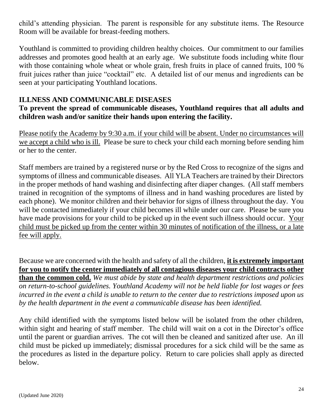child's attending physician. The parent is responsible for any substitute items. The Resource Room will be available for breast-feeding mothers.

Youthland is committed to providing children healthy choices. Our commitment to our families addresses and promotes good health at an early age. We substitute foods including white flour with those containing whole wheat or whole grain, fresh fruits in place of canned fruits, 100 % fruit juices rather than juice "cocktail" etc. A detailed list of our menus and ingredients can be seen at your participating Youthland locations.

#### **ILLNESS AND COMMUNICABLE DISEASES**

#### **To prevent the spread of communicable diseases, Youthland requires that all adults and children wash and/or sanitize their hands upon entering the facility.**

Please notify the Academy by 9:30 a.m. if your child will be absent. Under no circumstances will we accept a child who is ill. Please be sure to check your child each morning before sending him or her to the center.

Staff members are trained by a registered nurse or by the Red Cross to recognize of the signs and symptoms of illness and communicable diseases. All YLA Teachers are trained by their Directors in the proper methods of hand washing and disinfecting after diaper changes. (All staff members trained in recognition of the symptoms of illness and in hand washing procedures are listed by each phone). We monitor children and their behavior for signs of illness throughout the day. You will be contacted immediately if your child becomes ill while under our care. Please be sure you have made provisions for your child to be picked up in the event such illness should occur. Your child must be picked up from the center within 30 minutes of notification of the illness, or a late fee will apply.

Because we are concerned with the health and safety of all the children, **it is extremely important for you to notify the center immediately of all contagious diseases your child contracts other than the common cold.** *We must abide by state and health department restrictions and policies on return-to-school guidelines. Youthland Academy will not be held liable for lost wages or fees incurred in the event a child is unable to return to the center due to restrictions imposed upon us by the health department in the event a communicable disease has been identified.*

Any child identified with the symptoms listed below will be isolated from the other children, within sight and hearing of staff member. The child will wait on a cot in the Director's office until the parent or guardian arrives. The cot will then be cleaned and sanitized after use. An ill child must be picked up immediately; dismissal procedures for a sick child will be the same as the procedures as listed in the departure policy. Return to care policies shall apply as directed below.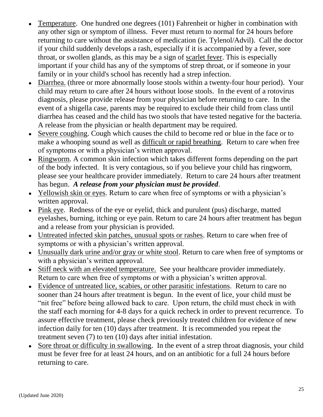- Temperature. One hundred one degrees (101) Fahrenheit or higher in combination with any other sign or symptom of illness. Fever must return to normal for 24 hours before returning to care without the assistance of medication (ie. Tylenol/Advil). Call the doctor if your child suddenly develops a rash, especially if it is accompanied by a fever, sore throat, or swollen glands, as this may be a sign of scarlet fever. This is especially important if your child has any of the symptoms of strep throat, or if someone in your family or in your child's school has recently had a strep infection.
- Diarrhea. (three or more abnormally loose stools within a twenty-four hour period). Your child may return to care after 24 hours without loose stools. In the event of a rotovirus diagnosis, please provide release from your physician before returning to care. In the event of a shigella case, parents may be required to exclude their child from class until diarrhea has ceased and the child has two stools that have tested negative for the bacteria. A release from the physician or health department may be required.
- Severe coughing. Cough which causes the child to become red or blue in the face or to make a whooping sound as well as difficult or rapid breathing. Return to care when free of symptoms or with a physician's written approval.
- Ringworm. A common skin infection which takes different forms depending on the part of the body infected. It is very contagious, so if you believe your child has ringworm, please see your healthcare provider immediately. Return to care 24 hours after treatment has begun. *A release from your physician must be provided*.
- Yellowish skin or eyes. Return to care when free of symptoms or with a physician's written approval.
- Pink eye. Redness of the eye or eyelid, thick and purulent (pus) discharge, matted eyelashes, burning, itching or eye pain. Return to care 24 hours after treatment has begun and a release from your physician is provided.
- Untreated infected skin patches, unusual spots or rashes. Return to care when free of symptoms or with a physician's written approval.
- Unusually dark urine and/or gray or white stool. Return to care when free of symptoms or with a physician's written approval.
- Stiff neck with an elevated temperature. See your healthcare provider immediately. Return to care when free of symptoms or with a physician's written approval.
- Evidence of untreated lice, scabies, or other parasitic infestations. Return to care no sooner than 24 hours after treatment is begun. In the event of lice, your child must be "nit free" before being allowed back to care. Upon return, the child must check in with the staff each morning for 4-8 days for a quick recheck in order to prevent recurrence. To assure effective treatment, please check previously treated children for evidence of new infection daily for ten (10) days after treatment. It is recommended you repeat the treatment seven (7) to ten (10) days after initial infestation.
- Sore throat or difficulty in swallowing. In the event of a strep throat diagnosis, your child must be fever free for at least 24 hours, and on an antibiotic for a full 24 hours before returning to care.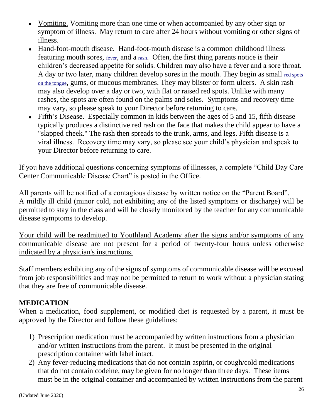- Vomiting. Vomiting more than one time or when accompanied by any other sign or symptom of illness. May return to care after 24 hours without vomiting or other signs of illness.
- Hand-foot-mouth disease. Hand-foot-mouth disease is a common childhood illness featuring mouth sores, [fever](http://www.drgreene.com/21_832.html), and a [rash](http://www.drgreene.com/54_21.html). Often, the first thing parents notice is their children's decreased appetite for solids. Children may also have a fever and a sore throat. A day or two later, many children develop sores in the mouth. They begin as small [red](http://www.drgreene.com/21_367.html) [spots](http://www.drgreene.com/21_367.html) [on](http://www.drgreene.com/21_367.html) [the](http://www.drgreene.com/21_367.html) [tongue](http://www.drgreene.com/21_367.html), gums, or mucous membranes. They may blister or form ulcers. A skin rash may also develop over a day or two, with flat or raised red spots. Unlike with many rashes, the spots are often found on the palms and soles. Symptoms and recovery time may vary, so please speak to your Director before returning to care.
- Fifth's Disease. Especially common in kids between the ages of 5 and 15, fifth disease typically produces a distinctive red rash on the face that makes the child appear to have a "slapped cheek." The rash then spreads to the trunk, arms, and legs. Fifth disease is a viral illness. Recovery time may vary, so please see your child's physician and speak to your Director before returning to care.

If you have additional questions concerning symptoms of illnesses, a complete "Child Day Care Center Communicable Disease Chart" is posted in the Office.

All parents will be notified of a contagious disease by written notice on the "Parent Board". A mildly ill child (minor cold, not exhibiting any of the listed symptoms or discharge) will be permitted to stay in the class and will be closely monitored by the teacher for any communicable disease symptoms to develop.

Your child will be readmitted to Youthland Academy after the signs and/or symptoms of any communicable disease are not present for a period of twenty-four hours unless otherwise indicated by a physician's instructions.

Staff members exhibiting any of the signs of symptoms of communicable disease will be excused from job responsibilities and may not be permitted to return to work without a physician stating that they are free of communicable disease.

#### **MEDICATION**

When a medication, food supplement, or modified diet is requested by a parent, it must be approved by the Director and follow these guidelines:

- 1) Prescription medication must be accompanied by written instructions from a physician and/or written instructions from the parent. It must be presented in the original prescription container with label intact.
- 2) Any fever-reducing medications that do not contain aspirin, or cough/cold medications that do not contain codeine, may be given for no longer than three days. These items must be in the original container and accompanied by written instructions from the parent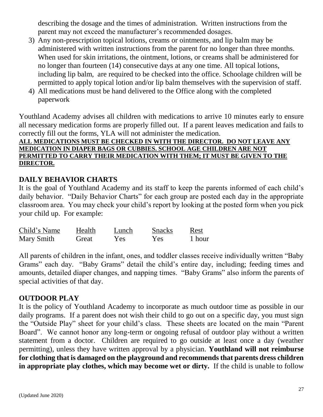describing the dosage and the times of administration. Written instructions from the parent may not exceed the manufacturer's recommended dosages.

- 3) Any non-prescription topical lotions, creams or ointments, and lip balm may be administered with written instructions from the parent for no longer than three months. When used for skin irritations, the ointment, lotions, or creams shall be administered for no longer than fourteen (14) consecutive days at any one time. All topical lotions, including lip balm, are required to be checked into the office. Schoolage children will be permitted to apply topical lotion and/or lip balm themselves with the supervision of staff.
- 4) All medications must be hand delivered to the Office along with the completed paperwork

Youthland Academy advises all children with medications to arrive 10 minutes early to ensure all necessary medication forms are properly filled out. If a parent leaves medication and fails to correctly fill out the forms, YLA will not administer the medication.

#### **ALL MEDICATIONS MUST BE CHECKED IN WITH THE DIRECTOR. DO NOT LEAVE ANY MEDICATION IN DIAPER BAGS OR CUBBIES. SCHOOL AGE CHILDREN ARE NOT PERMITTED TO CARRY THEIR MEDICATION WITH THEM; IT MUST BE GIVEN TO THE DIRECTOR.**

#### **DAILY BEHAVIOR CHARTS**

It is the goal of Youthland Academy and its staff to keep the parents informed of each child's daily behavior. "Daily Behavior Charts" for each group are posted each day in the appropriate classroom area. You may check your child's report by looking at the posted form when you pick your child up. For example:

| Child's Name | Health | Lunch | <b>Snacks</b> | Rest   |
|--------------|--------|-------|---------------|--------|
| Mary Smith   | Great  | Yes.  | Yes.          | 1 hour |

All parents of children in the infant, ones, and toddler classes receive individually written "Baby Grams" each day. "Baby Grams" detail the child's entire day, including; feeding times and amounts, detailed diaper changes, and napping times. "Baby Grams" also inform the parents of special activities of that day.

#### **OUTDOOR PLAY**

It is the policy of Youthland Academy to incorporate as much outdoor time as possible in our daily programs. If a parent does not wish their child to go out on a specific day, you must sign the "Outside Play" sheet for your child's class. These sheets are located on the main "Parent Board". We cannot honor any long-term or ongoing refusal of outdoor play without a written statement from a doctor. Children are required to go outside at least once a day (weather permitting), unless they have written approval by a physician. **Youthland will not reimburse for clothing that is damaged on the playground and recommends that parents dress children in appropriate play clothes, which may become wet or dirty.** If the child is unable to follow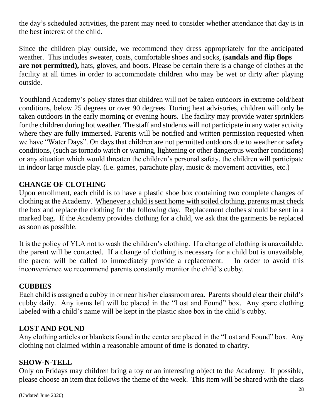the day's scheduled activities, the parent may need to consider whether attendance that day is in the best interest of the child.

Since the children play outside, we recommend they dress appropriately for the anticipated weather. This includes sweater, coats, comfortable shoes and socks, (**sandals and flip flops are not permitted),** hats, gloves, and boots. Please be certain there is a change of clothes at the facility at all times in order to accommodate children who may be wet or dirty after playing outside.

Youthland Academy's policy states that children will not be taken outdoors in extreme cold/heat conditions, below 25 degrees or over 90 degrees. During heat advisories, children will only be taken outdoors in the early morning or evening hours. The facility may provide water sprinklers for the children during hot weather. The staff and students will not participate in any water activity where they are fully immersed. Parents will be notified and written permission requested when we have "Water Days". On days that children are not permitted outdoors due to weather or safety conditions, (such as tornado watch or warning, lightening or other dangerous weather conditions) or any situation which would threaten the children's personal safety, the children will participate in indoor large muscle play. (i.e. games, parachute play, music & movement activities, etc.)

#### **CHANGE OF CLOTHING**

Upon enrollment, each child is to have a plastic shoe box containing two complete changes of clothing at the Academy. Whenever a child is sent home with soiled clothing, parents must check the box and replace the clothing for the following day. Replacement clothes should be sent in a marked bag. If the Academy provides clothing for a child, we ask that the garments be replaced as soon as possible.

It is the policy of YLA not to wash the children's clothing. If a change of clothing is unavailable, the parent will be contacted. If a change of clothing is necessary for a child but is unavailable, the parent will be called to immediately provide a replacement. In order to avoid this inconvenience we recommend parents constantly monitor the child's cubby.

#### **CUBBIES**

Each child is assigned a cubby in or near his/her classroom area. Parents should clear their child's cubby daily. Any items left will be placed in the "Lost and Found" box. Any spare clothing labeled with a child's name will be kept in the plastic shoe box in the child's cubby.

#### **LOST AND FOUND**

Any clothing articles or blankets found in the center are placed in the "Lost and Found" box. Any clothing not claimed within a reasonable amount of time is donated to charity.

#### **SHOW-N-TELL**

Only on Fridays may children bring a toy or an interesting object to the Academy. If possible, please choose an item that follows the theme of the week. This item will be shared with the class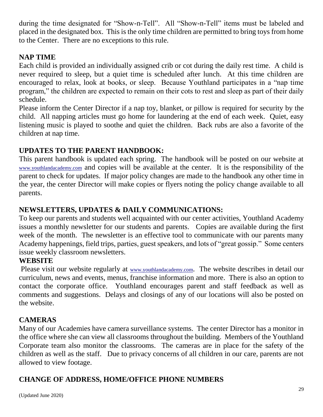during the time designated for "Show-n-Tell". All "Show-n-Tell" items must be labeled and placed in the designated box. This is the only time children are permitted to bring toys from home to the Center. There are no exceptions to this rule.

#### **NAP TIME**

Each child is provided an individually assigned crib or cot during the daily rest time. A child is never required to sleep, but a quiet time is scheduled after lunch. At this time children are encouraged to relax, look at books, or sleep. Because Youthland participates in a "nap time program," the children are expected to remain on their cots to rest and sleep as part of their daily schedule.

Please inform the Center Director if a nap toy, blanket, or pillow is required for security by the child. All napping articles must go home for laundering at the end of each week. Quiet, easy listening music is played to soothe and quiet the children. Back rubs are also a favorite of the children at nap time.

#### **UPDATES TO THE PARENT HANDBOOK:**

This parent handbook is updated each spring. The handbook will be posted on our website at [www.youthlandacademy.com](http://www.youthlandacademy.com/) and copies will be available at the center. It is the responsibility of the parent to check for updates. If major policy changes are made to the handbook any other time in the year, the center Director will make copies or flyers noting the policy change available to all parents.

#### **NEWSLETTERS, UPDATES & DAILY COMMUNICATIONS:**

To keep our parents and students well acquainted with our center activities, Youthland Academy issues a monthly newsletter for our students and parents. Copies are available during the first week of the month. The newsletter is an effective tool to communicate with our parents many Academy happenings, field trips, parties, guest speakers, and lots of "great gossip." Some centers issue weekly classroom newsletters.

#### **WEBSITE**

Please visit our website regularly at [www.youthlandacademy.com](http://www.youthlandacademy.com/). The website describes in detail our curriculum, news and events, menus, franchise information and more. There is also an option to contact the corporate office. Youthland encourages parent and staff feedback as well as comments and suggestions. Delays and closings of any of our locations will also be posted on the website.

#### **CAMERAS**

Many of our Academies have camera surveillance systems. The center Director has a monitor in the office where she can view all classrooms throughout the building. Members of the Youthland Corporate team also monitor the classrooms. The cameras are in place for the safety of the children as well as the staff. Due to privacy concerns of all children in our care, parents are not allowed to view footage.

#### **CHANGE OF ADDRESS, HOME/OFFICE PHONE NUMBERS**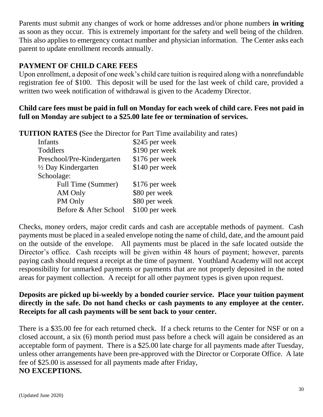Parents must submit any changes of work or home addresses and/or phone numbers **in writing** as soon as they occur. This is extremely important for the safety and well being of the children. This also applies to emergency contact number and physician information. The Center asks each parent to update enrollment records annually.

#### **PAYMENT OF CHILD CARE FEES**

Upon enrollment, a deposit of one week's child care tuition is required along with a nonrefundable registration fee of \$100. This deposit will be used for the last week of child care, provided a written two week notification of withdrawal is given to the Academy Director.

#### **Child care fees must be paid in full on Monday for each week of child care. Fees not paid in full on Monday are subject to a \$25.00 late fee or termination of services.**

**TUITION RATES (**See the Director for Part Time availability and rates)

| <b>Infants</b>                 | \$245 per week |
|--------------------------------|----------------|
| Toddlers                       | \$190 per week |
| Preschool/Pre-Kindergarten     | \$176 per week |
| $\frac{1}{2}$ Day Kindergarten | \$140 per week |
| Schoolage:                     |                |
| Full Time (Summer)             | \$176 per week |
| AM Only                        | \$80 per week  |
| PM Only                        | \$80 per week  |
| Before & After School          | \$100 per week |

Checks, money orders, major credit cards and cash are acceptable methods of payment. Cash payments must be placed in a sealed envelope noting the name of child, date, and the amount paid on the outside of the envelope. All payments must be placed in the safe located outside the Director's office. Cash receipts will be given within 48 hours of payment; however, parents paying cash should request a receipt at the time of payment. Youthland Academy will not accept responsibility for unmarked payments or payments that are not properly deposited in the noted areas for payment collection. A receipt for all other payment types is given upon request.

#### **Deposits are picked up bi-weekly by a bonded courier service. Place your tuition payment directly in the safe. Do not hand checks or cash payments to any employee at the center. Receipts for all cash payments will be sent back to your center.**

There is a \$35.00 fee for each returned check. If a check returns to the Center for NSF or on a closed account, a six (6) month period must pass before a check will again be considered as an acceptable form of payment. There is a \$25.00 late charge for all payments made after Tuesday, unless other arrangements have been pre-approved with the Director or Corporate Office. A late fee of \$25.00 is assessed for all payments made after Friday, **NO EXCEPTIONS.**

#### (Updated June 2020)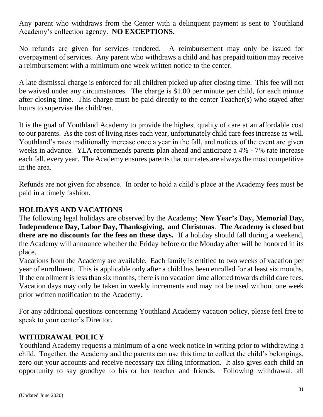Any parent who withdraws from the Center with a delinquent payment is sent to Youthland Academy's collection agency. **NO EXCEPTIONS.**

No refunds are given for services rendered. A reimbursement may only be issued for overpayment of services. Any parent who withdraws a child and has prepaid tuition may receive a reimbursement with a minimum one week written notice to the center.

A late dismissal charge is enforced for all children picked up after closing time. This fee will not be waived under any circumstances. The charge is \$1.00 per minute per child, for each minute after closing time. This charge must be paid directly to the center Teacher(s) who stayed after hours to supervise the child/ren.

It is the goal of Youthland Academy to provide the highest quality of care at an affordable cost to our parents. As the cost of living rises each year, unfortunately child care fees increase as well. Youthland's rates traditionally increase once a year in the fall, and notices of the event are given weeks in advance. YLA recommends parents plan ahead and anticipate a 4% - 7% rate increase each fall, every year. The Academy ensures parents that our rates are always the most competitive in the area.

Refunds are not given for absence. In order to hold a child's place at the Academy fees must be paid in a timely fashion.

#### **HOLIDAYS AND VACATIONS**

The following legal holidays are observed by the Academy; **New Year's Day, Memorial Day, Independence Day, Labor Day, Thanksgiving, and Christmas**. **The Academy is closed but there are no discounts for the fees on these days.** If a holiday should fall during a weekend, the Academy will announce whether the Friday before or the Monday after will be honored in its place.

Vacations from the Academy are available. Each family is entitled to two weeks of vacation per year of enrollment. This is applicable only after a child has been enrolled for at least six months. If the enrollment is less than six months, there is no vacation time allotted towards child care fees. Vacation days may only be taken in weekly increments and may not be used without one week prior written notification to the Academy.

For any additional questions concerning Youthland Academy vacation policy, please feel free to speak to your center's Director.

#### **WITHDRAWAL POLICY**

Youthland Academy requests a minimum of a one week notice in writing prior to withdrawing a child. Together, the Academy and the parents can use this time to collect the child's belongings, zero out your accounts and receive necessary tax filing information. It also gives each child an opportunity to say goodbye to his or her teacher and friends. Following withdrawal, all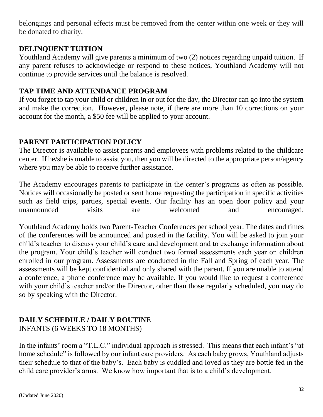belongings and personal effects must be removed from the center within one week or they will be donated to charity.

#### **DELINQUENT TUITION**

Youthland Academy will give parents a minimum of two (2) notices regarding unpaid tuition. If any parent refuses to acknowledge or respond to these notices, Youthland Academy will not continue to provide services until the balance is resolved.

#### **TAP TIME AND ATTENDANCE PROGRAM**

If you forget to tap your child or children in or out for the day, the Director can go into the system and make the correction. However, please note, if there are more than 10 corrections on your account for the month, a \$50 fee will be applied to your account.

#### **PARENT PARTICIPATION POLICY**

The Director is available to assist parents and employees with problems related to the childcare center. If he/she is unable to assist you, then you will be directed to the appropriate person/agency where you may be able to receive further assistance.

The Academy encourages parents to participate in the center's programs as often as possible. Notices will occasionally be posted or sent home requesting the participation in specific activities such as field trips, parties, special events. Our facility has an open door policy and your unannounced visits are welcomed and encouraged.

Youthland Academy holds two Parent-Teacher Conferences per school year. The dates and times of the conferences will be announced and posted in the facility. You will be asked to join your child's teacher to discuss your child's care and development and to exchange information about the program. Your child's teacher will conduct two formal assessments each year on children enrolled in our program. Assessments are conducted in the Fall and Spring of each year. The assessments will be kept confidential and only shared with the parent. If you are unable to attend a conference, a phone conference may be available. If you would like to request a conference with your child's teacher and/or the Director, other than those regularly scheduled, you may do so by speaking with the Director.

#### **DAILY SCHEDULE / DAILY ROUTINE** INFANTS (6 WEEKS TO 18 MONTHS)

In the infants' room a "T.L.C." individual approach is stressed. This means that each infant's "at home schedule" is followed by our infant care providers. As each baby grows, Youthland adjusts their schedule to that of the baby's. Each baby is cuddled and loved as they are bottle fed in the child care provider's arms. We know how important that is to a child's development.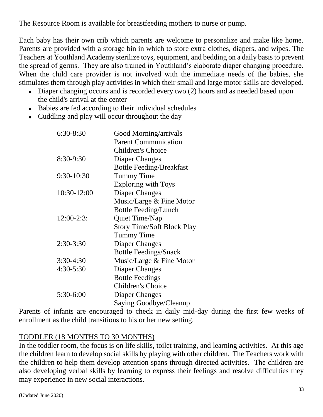The Resource Room is available for breastfeeding mothers to nurse or pump.

Each baby has their own crib which parents are welcome to personalize and make like home. Parents are provided with a storage bin in which to store extra clothes, diapers, and wipes. The Teachers at Youthland Academy sterilize toys, equipment, and bedding on a daily basis to prevent the spread of germs. They are also trained in Youthland's elaborate diaper changing procedure. When the child care provider is not involved with the immediate needs of the babies, she stimulates them through play activities in which their small and large motor skills are developed.

- Diaper changing occurs and is recorded every two (2) hours and as needed based upon the child's arrival at the center
- Babies are fed according to their individual schedules
- Cuddling and play will occur throughout the day

| $6:30-8:30$ | Good Morning/arrivals             |
|-------------|-----------------------------------|
|             | <b>Parent Communication</b>       |
|             | Children's Choice                 |
| 8:30-9:30   | Diaper Changes                    |
|             | <b>Bottle Feeding/Breakfast</b>   |
| 9:30-10:30  | <b>Tummy Time</b>                 |
|             | <b>Exploring with Toys</b>        |
| 10:30-12:00 | Diaper Changes                    |
|             | Music/Large & Fine Motor          |
|             | <b>Bottle Feeding/Lunch</b>       |
| $12:00-2:3$ | Quiet Time/Nap                    |
|             | <b>Story Time/Soft Block Play</b> |
|             | <b>Tummy Time</b>                 |
| $2:30-3:30$ | Diaper Changes                    |
|             | <b>Bottle Feedings/Snack</b>      |
| $3:30-4:30$ | Music/Large & Fine Motor          |
| $4:30-5:30$ | Diaper Changes                    |
|             | <b>Bottle Feedings</b>            |
|             | Children's Choice                 |
| 5:30-6:00   | Diaper Changes                    |
|             | Saying Goodbye/Cleanup            |
|             |                                   |

Parents of infants are encouraged to check in daily mid-day during the first few weeks of enrollment as the child transitions to his or her new setting.

#### TODDLER (18 MONTHS TO 30 MONTHS)

In the toddler room, the focus is on life skills, toilet training, and learning activities. At this age the children learn to develop social skills by playing with other children. The Teachers work with the children to help them develop attention spans through directed activities. The children are also developing verbal skills by learning to express their feelings and resolve difficulties they may experience in new social interactions.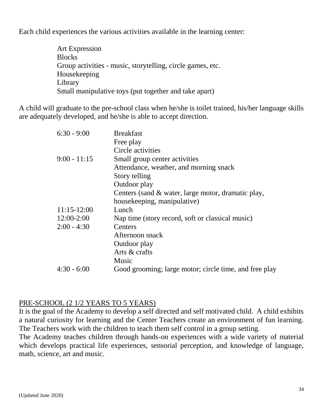Each child experiences the various activities available in the learning center:

Art Expression **Blocks** Group activities - music, storytelling, circle games, etc. Housekeeping Library Small manipulative toys (put together and take apart)

A child will graduate to the pre-school class when he/she is toilet trained, his/her language skills are adequately developed, and he/she is able to accept direction.

| <b>Breakfast</b>                                       |
|--------------------------------------------------------|
| Free play                                              |
| Circle activities                                      |
| Small group center activities                          |
| Attendance, weather, and morning snack                 |
| Story telling                                          |
| Outdoor play                                           |
| Centers (sand & water, large motor, dramatic play,     |
| housekeeping, manipulative)                            |
| Lunch                                                  |
| Nap time (story record, soft or classical music)       |
| Centers                                                |
| Afternoon snack                                        |
| Outdoor play                                           |
| Arts & crafts                                          |
| Music                                                  |
| Good grooming; large motor; circle time, and free play |
|                                                        |

#### PRE-SCHOOL (2 1/2 YEARS TO 5 YEARS)

It is the goal of the Academy to develop a self directed and self motivated child. A child exhibits a natural curiosity for learning and the Center Teachers create an environment of fun learning. The Teachers work with the children to teach them self control in a group setting.

The Academy teaches children through hands-on experiences with a wide variety of material which develops practical life experiences, sensorial perception, and knowledge of language, math, science, art and music.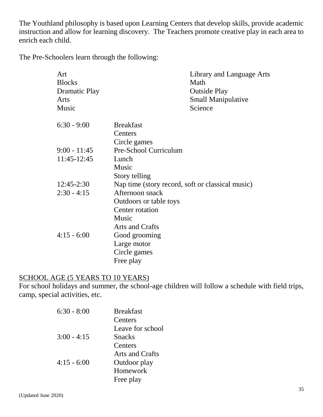The Youthland philosophy is based upon Learning Centers that develop skills, provide academic instruction and allow for learning discovery. The Teachers promote creative play in each area to enrich each child.

The Pre-Schoolers learn through the following:

| Art<br><b>Blocks</b> |                        | Library and Language Arts<br>Math                |
|----------------------|------------------------|--------------------------------------------------|
| <b>Dramatic Play</b> |                        | <b>Outside Play</b>                              |
| Arts                 |                        | <b>Small Manipulative</b>                        |
| Music                |                        | Science                                          |
| $6:30 - 9:00$        | <b>Breakfast</b>       |                                                  |
|                      | Centers                |                                                  |
|                      | Circle games           |                                                  |
| $9:00 - 11:45$       | Pre-School Curriculum  |                                                  |
| 11:45-12:45          | Lunch                  |                                                  |
|                      | Music                  |                                                  |
|                      | Story telling          |                                                  |
| $12:45-2:30$         |                        | Nap time (story record, soft or classical music) |
| $2:30 - 4:15$        | Afternoon snack        |                                                  |
|                      | Outdoors or table toys |                                                  |
|                      | Center rotation        |                                                  |
|                      | Music                  |                                                  |
|                      | Arts and Crafts        |                                                  |
| $4:15 - 6:00$        | Good grooming          |                                                  |
|                      | Large motor            |                                                  |
|                      | Circle games           |                                                  |
|                      | Free play              |                                                  |
|                      |                        |                                                  |

#### SCHOOL AGE (5 YEARS TO 10 YEARS)

For school holidays and summer, the school-age children will follow a schedule with field trips, camp, special activities, etc.

| $6:30 - 8:00$ | <b>Breakfast</b> |
|---------------|------------------|
|               | Centers          |
|               | Leave for school |
| $3:00 - 4:15$ | <b>Snacks</b>    |
|               | Centers          |
|               | Arts and Crafts  |
| $4:15 - 6:00$ | Outdoor play     |
|               | Homework         |
|               | Free play        |
|               |                  |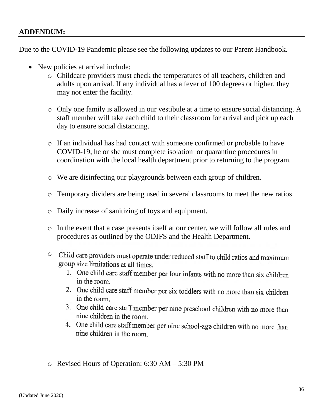#### **ADDENDUM:**

Due to the COVID-19 Pandemic please see the following updates to our Parent Handbook.

- New policies at arrival include:
	- o Childcare providers must check the temperatures of all teachers, children and adults upon arrival. If any individual has a fever of 100 degrees or higher, they may not enter the facility.
	- o Only one family is allowed in our vestibule at a time to ensure social distancing. A staff member will take each child to their classroom for arrival and pick up each day to ensure social distancing.
	- o If an individual has had contact with someone confirmed or probable to have COVID-19, he or she must complete isolation or quarantine procedures in coordination with the local health department prior to returning to the program.
	- o We are disinfecting our playgrounds between each group of children.
	- o Temporary dividers are being used in several classrooms to meet the new ratios.
	- o Daily increase of sanitizing of toys and equipment.
	- o In the event that a case presents itself at our center, we will follow all rules and procedures as outlined by the ODJFS and the Health Department.
	- <sup>o</sup> Child care providers must operate under reduced staff to child ratios and maximum group size limitations at all times.
		- 1. One child care staff member per four infants with no more than six children in the room.
		- 2. One child care staff member per six toddlers with no more than six children in the room.
		- 3. One child care staff member per nine preschool children with no more than nine children in the room.
		- 4. One child care staff member per nine school-age children with no more than nine children in the room
	- o Revised Hours of Operation: 6:30 AM 5:30 PM